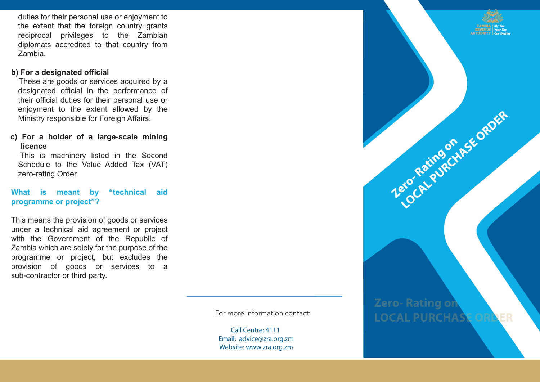duties for their personal use or enjoyment to the extent that the foreign country grants reciprocal privileges to the Zambian diplomats accredited to that country from Zambia.

### **b) For a designated official**

 These are goods or services acquired by a designated official in the performance of their official duties for their personal use or enjoyment to the extent allowed by the Ministry responsible for Foreign Affairs.

# **c) For a holder of a large-scale mining licence**

 This is machinery listed in the Second Schedule to the Value Added Tax (VAT) zero-rating Order

#### **What is meant by "technical aid programme or project"?**

This means the provision of goods or services under a technical aid agreement or project with the Government of the Republic of Zambia which are solely for the purpose of the programme or project, but excludes the provision of goods or services to a sub-contractor or third party.

For more information contact:

**Call Centre: 4111 Email: advice@zra.org.zm Website: www.zra.org.zm**

**Zero-Rating or LOCAL PURCHAS** 

Terochichaethse ORDER